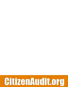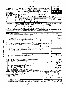|                   |                                                                                                                                                                                                                                                                                                                                                            |                                                                                                                                                                                                                                |                                              |  |                                   |                                                                                                                                                                                                                                      |  |                                                          | <b>Short Form</b>                                                          |                                                 |                                                                                                                                                                                                                                      |                    |                                                                                                                          |   |                                       |                               |          |                                                                           | OMB No 1545-1150                         |    |
|-------------------|------------------------------------------------------------------------------------------------------------------------------------------------------------------------------------------------------------------------------------------------------------------------------------------------------------------------------------------------------------|--------------------------------------------------------------------------------------------------------------------------------------------------------------------------------------------------------------------------------|----------------------------------------------|--|-----------------------------------|--------------------------------------------------------------------------------------------------------------------------------------------------------------------------------------------------------------------------------------|--|----------------------------------------------------------|----------------------------------------------------------------------------|-------------------------------------------------|--------------------------------------------------------------------------------------------------------------------------------------------------------------------------------------------------------------------------------------|--------------------|--------------------------------------------------------------------------------------------------------------------------|---|---------------------------------------|-------------------------------|----------|---------------------------------------------------------------------------|------------------------------------------|----|
|                   |                                                                                                                                                                                                                                                                                                                                                            |                                                                                                                                                                                                                                |                                              |  |                                   |                                                                                                                                                                                                                                      |  |                                                          |                                                                            |                                                 |                                                                                                                                                                                                                                      |                    | <b>Return of Organization Exempt From Income Tax</b>                                                                     |   |                                       |                               |          |                                                                           | 2005                                     |    |
|                   | Form 990-EZ                                                                                                                                                                                                                                                                                                                                                |                                                                                                                                                                                                                                |                                              |  |                                   |                                                                                                                                                                                                                                      |  |                                                          |                                                                            |                                                 |                                                                                                                                                                                                                                      |                    | Under section 501(c), 527, or 4947(a)(1) of the Internal Revenue Code (except black lung                                 |   |                                       |                               |          |                                                                           |                                          |    |
|                   |                                                                                                                                                                                                                                                                                                                                                            |                                                                                                                                                                                                                                |                                              |  |                                   |                                                                                                                                                                                                                                      |  |                                                          | benefit trust or private foundation)                                       |                                                 |                                                                                                                                                                                                                                      |                    | > For organizations with gross receipts less than \$100,000 and total assets less than \$250,000 at the end of the year. |   |                                       |                               |          |                                                                           | <b>Open to Public</b>                    |    |
|                   | Department of the Treasury<br>Internal Revenue Service                                                                                                                                                                                                                                                                                                     |                                                                                                                                                                                                                                |                                              |  |                                   |                                                                                                                                                                                                                                      |  |                                                          |                                                                            |                                                 |                                                                                                                                                                                                                                      |                    | The organization may have to use a copy of this return to satisfy state reporting requirements.                          |   |                                       |                               |          |                                                                           | <b>Inspection</b>                        |    |
|                   | A For the 2005 calendar year, or tax year beginning                                                                                                                                                                                                                                                                                                        |                                                                                                                                                                                                                                |                                              |  |                                   |                                                                                                                                                                                                                                      |  |                                                          |                                                                            |                                                 |                                                                                                                                                                                                                                      | , 2005, and ending |                                                                                                                          |   |                                       |                               |          |                                                                           | , 20                                     |    |
| В                 | Check if applicable                                                                                                                                                                                                                                                                                                                                        |                                                                                                                                                                                                                                | Please                                       |  | C Name of organization            |                                                                                                                                                                                                                                      |  |                                                          |                                                                            |                                                 |                                                                                                                                                                                                                                      |                    |                                                                                                                          |   |                                       |                               |          |                                                                           | D Employer identification number         |    |
|                   | Address change<br>Name change                                                                                                                                                                                                                                                                                                                              |                                                                                                                                                                                                                                | use IRS<br>label or                          |  |                                   |                                                                                                                                                                                                                                      |  |                                                          |                                                                            |                                                 |                                                                                                                                                                                                                                      |                    | NDIA CLUB OF GREATER DATEN                                                                                               | З |                                       |                               |          | 84                                                                        | 659                                      |    |
|                   | Initial return                                                                                                                                                                                                                                                                                                                                             |                                                                                                                                                                                                                                | print or<br>type.                            |  |                                   |                                                                                                                                                                                                                                      |  |                                                          | Number and street (or P O box, if mail is not delivered to street address) |                                                 |                                                                                                                                                                                                                                      |                    | Room/suite                                                                                                               |   | E Telephone number                    |                               |          |                                                                           | 8857120                                  |    |
|                   | Final return                                                                                                                                                                                                                                                                                                                                               |                                                                                                                                                                                                                                | See<br>Specific                              |  | 467                               |                                                                                                                                                                                                                                      |  | LANTERN<br>City or town, state or country, and $ZIP + 4$ |                                                                            | WAY                                             |                                                                                                                                                                                                                                      |                    |                                                                                                                          |   | (931)                                 |                               |          |                                                                           |                                          |    |
|                   | Amended return<br>Application pending                                                                                                                                                                                                                                                                                                                      |                                                                                                                                                                                                                                | Instruc-<br>tions.                           |  |                                   | CENTERVILIE                                                                                                                                                                                                                          |  |                                                          |                                                                            |                                                 |                                                                                                                                                                                                                                      |                    |                                                                                                                          |   | F Group Exemption<br>Number           |                               |          |                                                                           |                                          |    |
|                   | • Section 501(c)(3) organizations and 4947(a)(1) nonexempt charitable trusts must attach                                                                                                                                                                                                                                                                   |                                                                                                                                                                                                                                |                                              |  |                                   |                                                                                                                                                                                                                                      |  |                                                          |                                                                            |                                                 |                                                                                                                                                                                                                                      |                    | G Accounting method.                                                                                                     |   |                                       |                               |          |                                                                           | ⊠Cash □ Accrual                          |    |
|                   |                                                                                                                                                                                                                                                                                                                                                            |                                                                                                                                                                                                                                | a completed Schedule A (Form 990 or 990-EZ). |  |                                   |                                                                                                                                                                                                                                      |  |                                                          |                                                                            |                                                 |                                                                                                                                                                                                                                      |                    |                                                                                                                          |   | Other (specify) $\blacktriangleright$ |                               |          | $H$ Check $\blacktriangleright$ $\blacktriangleright$ if the organization |                                          |    |
|                   | Website: $\triangleright$ $\mathcal{I} \mathcal{N}$ $\mathcal{D} \mathcal{I} \mathcal{A} \mathcal{L} \mathcal{L} \mathcal{U} \mathcal{B} \mathcal{D} \mathcal{A} \mathcal{Y} \mathcal{T} \mathcal{O} \mathcal{N} \mathcal{A} \mathcal{B} \mathcal{G}$<br>Organization type (check only one) $-\mathbf{W}_{501(c)}$ (3) < (insert no.) $\Box$ 4947(a)(1) or |                                                                                                                                                                                                                                |                                              |  |                                   |                                                                                                                                                                                                                                      |  |                                                          |                                                                            |                                                 |                                                                                                                                                                                                                                      |                    |                                                                                                                          |   | is not required to attach             |                               |          |                                                                           | Schedule B (Form 990, 990-EZ, or 990-PF) |    |
|                   | K Check ► I f the organization's gross receipts are normally not more than \$25,000 The organization need not file a return with the IRS, but if the                                                                                                                                                                                                       |                                                                                                                                                                                                                                |                                              |  |                                   |                                                                                                                                                                                                                                      |  |                                                          |                                                                            |                                                 | $\lfloor$ 527                                                                                                                                                                                                                        |                    |                                                                                                                          |   |                                       |                               |          |                                                                           |                                          |    |
|                   | organization chooses to file a return, be sure to file a complete return Some states require a complete return.                                                                                                                                                                                                                                            |                                                                                                                                                                                                                                |                                              |  |                                   |                                                                                                                                                                                                                                      |  |                                                          |                                                                            |                                                 |                                                                                                                                                                                                                                      |                    |                                                                                                                          |   |                                       |                               |          |                                                                           |                                          |    |
|                   | L Add lines 5b, 6b, and 7b, to line 9 to determine gross receipts, if \$100,000 or more, file Form 990 instead of Form 990-EZ.                                                                                                                                                                                                                             |                                                                                                                                                                                                                                |                                              |  |                                   |                                                                                                                                                                                                                                      |  |                                                          |                                                                            |                                                 |                                                                                                                                                                                                                                      |                    |                                                                                                                          |   |                                       | ► \$                          |          |                                                                           |                                          |    |
| Part I            |                                                                                                                                                                                                                                                                                                                                                            | Revenue, Expenses, and Changes in Net Assets or Fund Balances (See page 38 of the instructions.)                                                                                                                               |                                              |  |                                   |                                                                                                                                                                                                                                      |  |                                                          |                                                                            |                                                 |                                                                                                                                                                                                                                      |                    |                                                                                                                          |   |                                       |                               |          |                                                                           |                                          |    |
|                   | 1                                                                                                                                                                                                                                                                                                                                                          | Contributions, gifts, grants, and similar amounts received                                                                                                                                                                     |                                              |  |                                   |                                                                                                                                                                                                                                      |  |                                                          |                                                                            |                                                 |                                                                                                                                                                                                                                      |                    |                                                                                                                          |   |                                       | 1                             |          |                                                                           |                                          |    |
|                   | $\mathbf{2}$                                                                                                                                                                                                                                                                                                                                               | Program service revenue including government fees and contracts.                                                                                                                                                               |                                              |  |                                   |                                                                                                                                                                                                                                      |  |                                                          |                                                                            |                                                 |                                                                                                                                                                                                                                      |                    |                                                                                                                          |   |                                       | 2<br>3                        |          |                                                                           |                                          |    |
|                   | 3<br>4                                                                                                                                                                                                                                                                                                                                                     | Membership dues and assessments<br>Investment income                                                                                                                                                                           |                                              |  |                                   |                                                                                                                                                                                                                                      |  |                                                          |                                                                            |                                                 |                                                                                                                                                                                                                                      |                    |                                                                                                                          |   |                                       | 4                             |          |                                                                           |                                          |    |
|                   | 5a                                                                                                                                                                                                                                                                                                                                                         | Gross amount from sale of assets other than inventory entitled by the contract of the Gross amount from sale of assets other in the contract of the Cross amount of Gross and Gross and Gross and Gross and Gross and Gross an |                                              |  |                                   |                                                                                                                                                                                                                                      |  |                                                          |                                                                            |                                                 | 5а                                                                                                                                                                                                                                   |                    |                                                                                                                          |   |                                       | Ŗ                             |          |                                                                           |                                          |    |
|                   | b                                                                                                                                                                                                                                                                                                                                                          | Less: cost or other basis and sales expenses                                                                                                                                                                                   |                                              |  |                                   |                                                                                                                                                                                                                                      |  |                                                          |                                                                            |                                                 | 5b                                                                                                                                                                                                                                   |                    |                                                                                                                          |   |                                       | 蒜                             |          |                                                                           |                                          |    |
|                   | c                                                                                                                                                                                                                                                                                                                                                          | Gain or (loss) from sale of assets other than inventory (line 5a less line 5b) (attach schedule)                                                                                                                               |                                              |  |                                   |                                                                                                                                                                                                                                      |  |                                                          |                                                                            |                                                 |                                                                                                                                                                                                                                      |                    |                                                                                                                          |   |                                       | 5c                            |          |                                                                           |                                          |    |
|                   | 6                                                                                                                                                                                                                                                                                                                                                          | Special events and activities (attach schedule). If any amount is from gaming, check here $\blacktriangleright$                                                                                                                |                                              |  |                                   |                                                                                                                                                                                                                                      |  |                                                          |                                                                            |                                                 |                                                                                                                                                                                                                                      |                    |                                                                                                                          |   |                                       | $\lambda$<br>بكمو<br>$\alpha$ |          |                                                                           |                                          |    |
| Revenue           |                                                                                                                                                                                                                                                                                                                                                            | a Gross revenue (not including \$ ____________________ of contributions                                                                                                                                                        |                                              |  |                                   |                                                                                                                                                                                                                                      |  |                                                          |                                                                            |                                                 | 6a                                                                                                                                                                                                                                   |                    | ਠੰ                                                                                                                       |   |                                       | ×,                            |          |                                                                           |                                          |    |
|                   |                                                                                                                                                                                                                                                                                                                                                            | reported on line 1)<br><b>b</b> Less: direct expenses other than fundraising expenses                                                                                                                                          |                                              |  | and a state of the                |                                                                                                                                                                                                                                      |  |                                                          | and the state of the state                                                 |                                                 | 6b                                                                                                                                                                                                                                   |                    |                                                                                                                          |   |                                       |                               |          |                                                                           |                                          |    |
|                   | c                                                                                                                                                                                                                                                                                                                                                          | Net income or (loss) from special events and activities (line 6a less line 6b)                                                                                                                                                 |                                              |  |                                   |                                                                                                                                                                                                                                      |  |                                                          |                                                                            |                                                 |                                                                                                                                                                                                                                      |                    |                                                                                                                          |   |                                       | 6c                            |          |                                                                           | 385                                      |    |
|                   | 7а                                                                                                                                                                                                                                                                                                                                                         | Gross sales of inventory, less returns and allowances                                                                                                                                                                          |                                              |  |                                   |                                                                                                                                                                                                                                      |  |                                                          |                                                                            |                                                 | 7a                                                                                                                                                                                                                                   |                    |                                                                                                                          |   |                                       | R.                            |          |                                                                           |                                          |    |
|                   | b                                                                                                                                                                                                                                                                                                                                                          | Less: cost of goods sold                                                                                                                                                                                                       |                                              |  |                                   |                                                                                                                                                                                                                                      |  |                                                          |                                                                            |                                                 | 7b                                                                                                                                                                                                                                   |                    |                                                                                                                          |   |                                       | i I.<br>Lyfê b                |          |                                                                           |                                          |    |
|                   |                                                                                                                                                                                                                                                                                                                                                            | c Gross profit or (loss) from sales of inventory (line 7a less line 7b).                                                                                                                                                       |                                              |  |                                   |                                                                                                                                                                                                                                      |  |                                                          |                                                                            |                                                 |                                                                                                                                                                                                                                      |                    |                                                                                                                          |   |                                       | 7с<br>8                       |          |                                                                           |                                          |    |
|                   | 8<br>9                                                                                                                                                                                                                                                                                                                                                     | Other revenue (describe > _____________<br>Total revenue (add lines 1, 2, 3, 4, 5c, 6c, 7c, and 8)                                                                                                                             |                                              |  |                                   |                                                                                                                                                                                                                                      |  |                                                          |                                                                            |                                                 |                                                                                                                                                                                                                                      |                    |                                                                                                                          |   |                                       | 9                             |          |                                                                           |                                          |    |
|                   | 10                                                                                                                                                                                                                                                                                                                                                         | Grants and similar amounts paid (attach schedule)                                                                                                                                                                              |                                              |  |                                   |                                                                                                                                                                                                                                      |  |                                                          |                                                                            |                                                 |                                                                                                                                                                                                                                      |                    |                                                                                                                          |   |                                       | 10                            |          |                                                                           |                                          |    |
|                   | 11                                                                                                                                                                                                                                                                                                                                                         |                                                                                                                                                                                                                                |                                              |  |                                   |                                                                                                                                                                                                                                      |  |                                                          |                                                                            |                                                 |                                                                                                                                                                                                                                      |                    |                                                                                                                          |   |                                       | 11                            |          |                                                                           |                                          |    |
|                   | 12                                                                                                                                                                                                                                                                                                                                                         | Salaries, other compensation, and employee benefits                                                                                                                                                                            |                                              |  |                                   |                                                                                                                                                                                                                                      |  |                                                          |                                                                            |                                                 |                                                                                                                                                                                                                                      |                    |                                                                                                                          |   |                                       | 12                            |          |                                                                           |                                          |    |
| Expenses          | 13                                                                                                                                                                                                                                                                                                                                                         | Professional fees and other payments to independent contractors                                                                                                                                                                |                                              |  |                                   |                                                                                                                                                                                                                                      |  |                                                          |                                                                            |                                                 |                                                                                                                                                                                                                                      |                    |                                                                                                                          |   |                                       | 13                            |          |                                                                           |                                          | ຮ໐ |
|                   | 14                                                                                                                                                                                                                                                                                                                                                         | Occupancy, rent, utilities, and maintenance                                                                                                                                                                                    |                                              |  |                                   |                                                                                                                                                                                                                                      |  |                                                          |                                                                            | <b><i>Committee State State State State</i></b> |                                                                                                                                                                                                                                      |                    |                                                                                                                          |   |                                       | 14<br>15                      |          |                                                                           |                                          |    |
|                   | 15<br>16                                                                                                                                                                                                                                                                                                                                                   | Printing, publications, postage, and shipping et al.<br>Other expenses (describe $\blacktriangleright$ CHLLDRENS SCHOOL FELOVATIONAL FESTIVAL,                                                                                 |                                              |  |                                   |                                                                                                                                                                                                                                      |  |                                                          |                                                                            |                                                 |                                                                                                                                                                                                                                      |                    |                                                                                                                          |   |                                       | 16                            |          |                                                                           |                                          |    |
|                   | 17                                                                                                                                                                                                                                                                                                                                                         | Total expenses (add lines 10 through 16) and a contract of the state of the state of the state of the state of the state of the state of the state of the state of the state of the state of the state of the state of the sta |                                              |  |                                   |                                                                                                                                                                                                                                      |  |                                                          |                                                                            |                                                 |                                                                                                                                                                                                                                      |                    |                                                                                                                          |   |                                       | 17                            |          |                                                                           |                                          |    |
|                   | 18                                                                                                                                                                                                                                                                                                                                                         | Excess or (deficit) for the year (line 9 less line 17)                                                                                                                                                                         |                                              |  |                                   |                                                                                                                                                                                                                                      |  |                                                          |                                                                            |                                                 | <u>in the contract of the contract of the contract of the contract of the contract of the contract of the contract of the contract of the contract of the contract of the contract of the contract of the contract of the contra</u> |                    |                                                                                                                          |   |                                       | 18                            |          |                                                                           |                                          |    |
| <b>Net Assets</b> | 19                                                                                                                                                                                                                                                                                                                                                         | Not assets profit Markes and eginning of year (from line 27, column (A)) (must agree with                                                                                                                                      |                                              |  |                                   |                                                                                                                                                                                                                                      |  |                                                          |                                                                            |                                                 |                                                                                                                                                                                                                                      |                    |                                                                                                                          |   |                                       |                               |          |                                                                           |                                          |    |
|                   |                                                                                                                                                                                                                                                                                                                                                            | end-of-year-figure reported or there year's return).                                                                                                                                                                           |                                              |  |                                   |                                                                                                                                                                                                                                      |  |                                                          |                                                                            |                                                 |                                                                                                                                                                                                                                      |                    |                                                                                                                          |   |                                       | 19                            |          |                                                                           |                                          |    |
|                   | 20<br>21                                                                                                                                                                                                                                                                                                                                                   | Other changes in net assets of forted balances (attach explanation)<br>Nel aspets of Yund Balances at 60 er (combine lines 18 through 20).                                                                                     |                                              |  |                                   |                                                                                                                                                                                                                                      |  |                                                          |                                                                            |                                                 |                                                                                                                                                                                                                                      |                    |                                                                                                                          |   |                                       | 20<br>21                      |          |                                                                           |                                          |    |
|                   | Part II                                                                                                                                                                                                                                                                                                                                                    | Balance Sheets—If Total assets on line 25, column (B) are \$250,000 or more, file Form 090 instead of Form 990-EZ                                                                                                              |                                              |  |                                   |                                                                                                                                                                                                                                      |  |                                                          |                                                                            |                                                 |                                                                                                                                                                                                                                      |                    |                                                                                                                          |   |                                       |                               |          |                                                                           |                                          |    |
|                   |                                                                                                                                                                                                                                                                                                                                                            |                                                                                                                                                                                                                                |                                              |  |                                   |                                                                                                                                                                                                                                      |  |                                                          |                                                                            |                                                 |                                                                                                                                                                                                                                      |                    |                                                                                                                          |   | (A) Beginning of year                 |                               |          |                                                                           | (B) End of year                          |    |
| 22                | Cash, savings, OG See page 11 of the instructions.)                                                                                                                                                                                                                                                                                                        |                                                                                                                                                                                                                                |                                              |  |                                   |                                                                                                                                                                                                                                      |  |                                                          |                                                                            |                                                 |                                                                                                                                                                                                                                      |                    |                                                                                                                          |   |                                       |                               | 22       |                                                                           | 58620                                    |    |
| 23                | Land and buildings                                                                                                                                                                                                                                                                                                                                         |                                                                                                                                                                                                                                |                                              |  | <b>Contract Contract Contract</b> |                                                                                                                                                                                                                                      |  |                                                          |                                                                            |                                                 |                                                                                                                                                                                                                                      |                    |                                                                                                                          |   |                                       |                               | 23       |                                                                           |                                          |    |
| 24                | Other assets (describe $\blacktriangleright$                                                                                                                                                                                                                                                                                                               |                                                                                                                                                                                                                                |                                              |  |                                   |                                                                                                                                                                                                                                      |  |                                                          |                                                                            |                                                 |                                                                                                                                                                                                                                      |                    |                                                                                                                          |   | 50,624                                |                               | 24       |                                                                           | 58620                                    |    |
| 25                | <b>Total assets</b>                                                                                                                                                                                                                                                                                                                                        |                                                                                                                                                                                                                                |                                              |  |                                   | $\mathbf{r}$ and $\mathbf{r}$ are the set of the set of the set of the set of the set of the set of the set of the set of the set of the set of the set of the set of the set of the set of the set of the set of the set of the set |  |                                                          |                                                                            |                                                 |                                                                                                                                                                                                                                      |                    |                                                                                                                          |   |                                       |                               | 25<br>26 |                                                                           |                                          |    |
| 26<br>27          | Total liabilities (describe ▶<br>Net assets or fund balances (line 27 of column (B) must agree with line 21)                                                                                                                                                                                                                                               |                                                                                                                                                                                                                                |                                              |  |                                   |                                                                                                                                                                                                                                      |  |                                                          |                                                                            |                                                 |                                                                                                                                                                                                                                      |                    |                                                                                                                          |   | 50,62                                 |                               | 27       |                                                                           | 586                                      |    |
|                   | For Privacy Act and Paperwork Reduction Act Notice, see the separate instructions.                                                                                                                                                                                                                                                                         |                                                                                                                                                                                                                                |                                              |  |                                   |                                                                                                                                                                                                                                      |  |                                                          |                                                                            |                                                 |                                                                                                                                                                                                                                      | Cat. No 10642i     |                                                                                                                          |   |                                       |                               |          |                                                                           | Form 990-EZ (2005)                       |    |
|                   |                                                                                                                                                                                                                                                                                                                                                            |                                                                                                                                                                                                                                |                                              |  |                                   |                                                                                                                                                                                                                                      |  |                                                          |                                                                            |                                                 |                                                                                                                                                                                                                                      |                    |                                                                                                                          |   |                                       |                               |          |                                                                           |                                          |    |
|                   |                                                                                                                                                                                                                                                                                                                                                            |                                                                                                                                                                                                                                |                                              |  |                                   |                                                                                                                                                                                                                                      |  |                                                          |                                                                            |                                                 |                                                                                                                                                                                                                                      |                    |                                                                                                                          |   |                                       |                               |          |                                                                           |                                          |    |
|                   |                                                                                                                                                                                                                                                                                                                                                            |                                                                                                                                                                                                                                |                                              |  |                                   |                                                                                                                                                                                                                                      |  |                                                          |                                                                            |                                                 |                                                                                                                                                                                                                                      |                    |                                                                                                                          |   |                                       |                               |          |                                                                           |                                          |    |

 $\ddot{\phantom{0}}$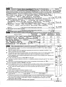| Form 990-EZ (2005)                                                                                                                                                                                                                           |     |                                                                                                                                                                                                                                                               |                   |                          |     | Page 2                                             |
|----------------------------------------------------------------------------------------------------------------------------------------------------------------------------------------------------------------------------------------------|-----|---------------------------------------------------------------------------------------------------------------------------------------------------------------------------------------------------------------------------------------------------------------|-------------------|--------------------------|-----|----------------------------------------------------|
| Part III<br>Statement of Program Service Accomplishments (See page 42 of the instructions.)                                                                                                                                                  |     |                                                                                                                                                                                                                                                               |                   |                          |     | <b>Expenses</b>                                    |
| What is the organization's primary exempt purpose? CHARITARLE SOCIAL NOT FOR PROF IT                                                                                                                                                         |     |                                                                                                                                                                                                                                                               |                   |                          |     | (Required for $501(c)(3)$<br>and (4) organizations |
| Describe what was achieved in carrying out the organization's exempt/purposes. In a clear and concise manner,<br>describe the services provided, the number of persons benefited, or other relevant information for each program title.      |     |                                                                                                                                                                                                                                                               |                   |                          |     | and 4947(a)(1) trusts;<br>optional for others)     |
| 28 ORGANIZED A (VISITING) MUSICAL GROUP PERBRUANCE FROM                                                                                                                                                                                      |     |                                                                                                                                                                                                                                                               |                   |                          |     |                                                    |
| Welk FOR THE BENEF IT OF DAYTON'S INDIAN AND AMERICAL                                                                                                                                                                                        |     |                                                                                                                                                                                                                                                               |                   |                          |     |                                                    |
| CITIZENS, AROUT 500 DEOPLE ATTENDED                                                                                                                                                                                                          |     |                                                                                                                                                                                                                                                               |                   |                          |     | 8.                                                 |
| (Grants \$                                                                                                                                                                                                                                   |     | ) If this amount includes foreign grants, check here                                                                                                                                                                                                          |                   | $\Box$                   | 28a | 504                                                |
| 29 CELEBRATED ANNUAL "PESTIVAL OF LIGHTS" (DIWALI)                                                                                                                                                                                           |     |                                                                                                                                                                                                                                                               |                   |                          |     |                                                    |
| $1.1.1816468888200519778006089.280360400177$                                                                                                                                                                                                 |     |                                                                                                                                                                                                                                                               |                   |                          |     |                                                    |
| MEMBERS, FAMILIES AND THEIR AMERICAN FRIENDS                                                                                                                                                                                                 |     |                                                                                                                                                                                                                                                               |                   |                          | 29a | 9,225                                              |
| (Grants \$<br>30 DONATED FUNDS FOR TSUNAMI RELIEF                                                                                                                                                                                            |     | ) If this amount includes foreign grants, check here                                                                                                                                                                                                          |                   | $F$ ROM INDU             |     |                                                    |
| <u>CLUB C CASH COULECTION S AND OWN CASH ASSETS</u>                                                                                                                                                                                          |     |                                                                                                                                                                                                                                                               |                   |                          |     |                                                    |
|                                                                                                                                                                                                                                              |     |                                                                                                                                                                                                                                                               |                   |                          |     |                                                    |
| (Grants \$                                                                                                                                                                                                                                   |     | ) If this amount includes foreign grants, check here                                                                                                                                                                                                          |                   | ▶                        | 30a | 5,00                                               |
| 31 Other program services (attach schedule)                                                                                                                                                                                                  |     | designed to the contract of the contract of the contract of the contract of the contract of the contract of the                                                                                                                                               |                   |                          |     |                                                    |
| (Grants \$                                                                                                                                                                                                                                   |     | ) If this amount includes foreign grants, check here                                                                                                                                                                                                          |                   |                          | 31a |                                                    |
| 32 Total program service expenses (add lines 28a through 31a)                                                                                                                                                                                |     |                                                                                                                                                                                                                                                               |                   |                          | 32  |                                                    |
| Part IV List of Officers, Directors, Trustees, and Key Employees (List each one even if not compensated. See page 42 of the instructions)                                                                                                    |     | (B) Title and average                                                                                                                                                                                                                                         | (C) Compensation  | (D) Contributions to     |     | (E) Expense                                        |
| (A) Name and address                                                                                                                                                                                                                         |     | hours per week                                                                                                                                                                                                                                                | (If not paid,     | employee benefit plans & |     | account and                                        |
|                                                                                                                                                                                                                                              |     | devoted to position                                                                                                                                                                                                                                           | enter -0-.)       | deferred compensation    |     | other allowances                                   |
| MR. ASHNIN KAO, 9467, CANTERN PRESIDENT (ZHRK<br>CENTERVILLE Off<br>45458                                                                                                                                                                    | Dr- | 200                                                                                                                                                                                                                                                           |                   |                          |     |                                                    |
| 457 ISABELLA<br>MR ARUN JAIN                                                                                                                                                                                                                 |     | TREASURER                                                                                                                                                                                                                                                     |                   |                          |     |                                                    |
| CIRCLE<br>DAYTON ON 45456                                                                                                                                                                                                                    |     | (1 HR                                                                                                                                                                                                                                                         |                   |                          |     |                                                    |
| MR HEMANT GARG                                                                                                                                                                                                                               |     | PRESIDENT                                                                                                                                                                                                                                                     |                   |                          |     |                                                    |
| YANKEE WOODS DY<br>1153.                                                                                                                                                                                                                     |     | $6.54E, 6.5C$ (2007                                                                                                                                                                                                                                           | C )               |                          |     |                                                    |
| CENTERVILLE<br>0 H                                                                                                                                                                                                                           |     |                                                                                                                                                                                                                                                               |                   |                          |     |                                                    |
| Part V<br>Other Information (Note the attachment requirement in General Instruction V, page 14.)                                                                                                                                             |     |                                                                                                                                                                                                                                                               |                   |                          |     | Yes No                                             |
|                                                                                                                                                                                                                                              |     |                                                                                                                                                                                                                                                               |                   |                          |     |                                                    |
| Did the organization engage in any activity not previously reported to the IRS? If "Yes," attach a detailed<br>33<br>description of each activity                                                                                            |     | $\frac{1}{2}$ , $\frac{1}{2}$ , $\frac{1}{2}$ , $\frac{1}{2}$ , $\frac{1}{2}$ , $\frac{1}{2}$ , $\frac{1}{2}$ , $\frac{1}{2}$ , $\frac{1}{2}$ , $\frac{1}{2}$ , $\frac{1}{2}$ , $\frac{1}{2}$ , $\frac{1}{2}$ , $\frac{1}{2}$ , $\frac{1}{2}$ , $\frac{1}{2}$ |                   |                          |     | 33                                                 |
| Were any changes made to the organizing or governing documents but not reported to the IRS? If "Yes,"<br>34                                                                                                                                  |     |                                                                                                                                                                                                                                                               |                   |                          |     |                                                    |
| attach a conformed copy of the changes                                                                                                                                                                                                       |     | $\mathbf{r}$ and $\mathbf{r}$ are the set of the set of the set of the set of the set of the set of the set of the set of the set of the set of the set of the set of the set of the set of the set of the set of the set of the set                          |                   |                          |     | 34                                                 |
| If the organization had income from business activities, such as those reported on lines 2, 6, and 7 (among others), but not<br>35                                                                                                           |     |                                                                                                                                                                                                                                                               |                   |                          |     | ۵ş۰<br>$\mathcal{A}_{\mathcal{G}}$<br>y k          |
| reported on Form 990-T, attach a statement explaining your reason for not reporting the income on Form 990-T                                                                                                                                 |     |                                                                                                                                                                                                                                                               |                   |                          |     | لنصب                                               |
| a Did the organization have unrelated business gross income of \$1,000 or more or 6033(e) notice, reporting, and                                                                                                                             |     |                                                                                                                                                                                                                                                               |                   |                          |     | <b>N</b> A                                         |
| proxy tax requirements? (e.g. a) and a contract of the contract of the contract of the contract of the contract of the contract of the contract of the contract of the contract of the contract of the contract of the contrac               |     |                                                                                                                                                                                                                                                               |                   |                          |     | 35a                                                |
| <b>b</b> If "Yes," has it filed a tax return on Form 990-T for this year?                                                                                                                                                                    |     |                                                                                                                                                                                                                                                               |                   |                          |     | 35 <sub>b</sub>                                    |
| Was there a liquidation, dissolution, termination, or substantial contraction during the year? (If "Yes," attach a<br>36                                                                                                                     |     |                                                                                                                                                                                                                                                               |                   |                          |     | 36                                                 |
| statement.)<br>37a Enter amount of political expenditures, direct or indirect, as described in the instructions. $\blacktriangleright$ $\boxed{37a}$                                                                                         |     |                                                                                                                                                                                                                                                               |                   |                          |     | $\chi \rightarrow 0$                               |
|                                                                                                                                                                                                                                              |     |                                                                                                                                                                                                                                                               |                   |                          |     | 37b                                                |
| 38a Did the organization borrow from, or make any loans to, any officer, director, trustee, or key employee or were                                                                                                                          |     |                                                                                                                                                                                                                                                               |                   |                          |     |                                                    |
| any such loans made in a prior year and still unpaid at the start of the period covered by this return?                                                                                                                                      |     |                                                                                                                                                                                                                                                               |                   |                          |     | 38a                                                |
| b If "Yes," attach the schedule specified in the line 38 instructions and enter the amount                                                                                                                                                   |     |                                                                                                                                                                                                                                                               |                   |                          |     |                                                    |
| involved<br>the second contract of the second contract of the second contract of the second contract of the second contract of                                                                                                               |     |                                                                                                                                                                                                                                                               | 38b               |                          |     | $\frac{3}{2}$                                      |
| 501(c)(7) organizations Enter:<br>39                                                                                                                                                                                                         |     |                                                                                                                                                                                                                                                               | $\frac{1}{218.5}$ |                          |     | 루<br>Ã                                             |
| a Initiation fees and capital contributions included on line 9                                                                                                                                                                               |     |                                                                                                                                                                                                                                                               | 39a               |                          |     |                                                    |
| <b>b</b> Gross receipts, included on line 9, for public use of club facilities returnal containing the Gross receipts, included on line 9, for public use of club facilities                                                                 |     |                                                                                                                                                                                                                                                               | 39 <sub>b</sub>   |                          |     | 1.75                                               |
| 40a 501(c)(3) organizations. Enter amount of tax imposed on the organization during the year under:<br>section 4911 ▶ ________________; section 4912 ▶ ______________; section 4955 ▶ _________                                              |     |                                                                                                                                                                                                                                                               |                   |                          |     | ÷                                                  |
| b 501(c)(3) and (4) organizations. Did the organization engage in any section 4958 excess benefit transaction during the<br>year or did it become aware of an excess benefit transaction from a prior year? If "Yes," attach an explanation. |     |                                                                                                                                                                                                                                                               |                   |                          |     | 40b                                                |
| c Enter amount of tax imposed on organization managers or disqualified persons during the year under                                                                                                                                         |     |                                                                                                                                                                                                                                                               |                   |                          |     |                                                    |
|                                                                                                                                                                                                                                              |     |                                                                                                                                                                                                                                                               |                   |                          |     |                                                    |
| d Enter amount of tax on line 40c reimbursed by the organization                                                                                                                                                                             |     |                                                                                                                                                                                                                                                               |                   |                          |     |                                                    |

 $\hat{\mathbf{A}}$ 

 $\ddot{\phantom{a}}$ 

Form 990-EZ (2005)

 $\bar{1}$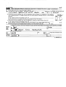|                               | Form 990-EZ (2005) |                                                                                                                                                                                                                                                                                                                                                                                                                                                                                      | Page 3                                   |
|-------------------------------|--------------------|--------------------------------------------------------------------------------------------------------------------------------------------------------------------------------------------------------------------------------------------------------------------------------------------------------------------------------------------------------------------------------------------------------------------------------------------------------------------------------------|------------------------------------------|
| ∣ Part V                      |                    | Other Information (Note the attachment requirement in General Instruction V, page 14.) (Continued)                                                                                                                                                                                                                                                                                                                                                                                   |                                          |
| 41<br>42a                     |                    | List the states with which a copy of this return is filed. $\blacktriangleright$<br>The books are in care of MR ARUN JAIN<br>Located at >457 IS43524 CIRCLE DAYTON OF<br>Telephone no. $\triangleright$ (9.37) 4 3 4 0 3 3 5<br>ZIP + 4 $\triangleright$ 4 5 4 5 8                                                                                                                                                                                                                   |                                          |
|                               |                    | <b>b</b> At any time during the calendar year, did the organization have an interest in or a signature or other authority<br>over a financial account in a foreign country (such as a bank account, securities account, or other financial<br>the contract of the contract of the con-<br>See the instructions for exceptions and filing requirements for Form TD F 90-22.1.<br>c At any time during the calendar year, did the organization maintain an office outside of the U.S.? | Yesi No<br>42b<br>42c                    |
|                               |                    |                                                                                                                                                                                                                                                                                                                                                                                                                                                                                      |                                          |
| 43.                           |                    | If "Yes," enter the name of the foreign country. $\blacktriangleright$<br>Section 4947(a)(1) nonexempt charitable trusts filing Form 990-EZ in lieu of Form 1041—Check here.<br>and enter the amount of tax-exempt interest received or accrued during the tax year $\ldots$ , $\blacktriangleright$<br>43 <sub>1</sub>                                                                                                                                                              |                                          |
| <b>Please</b><br>Sign<br>Here |                    | Under penalties of perjury, I declare that I have examined this return, including accompanying schedules and statements, and to the best of my knowledge<br>and belief, it is true, correct, and complete. Declaration of preparer (other than officer) is based on all information of which preparer has any knowledge<br>Slanature of officer<br>Date<br><b>JAIN</b><br>ARUN<br>TREASURER<br>Type or print name and title                                                          |                                          |
| Paid<br>Preparer's            |                    | Check if<br>Date<br>Preparer's  <br>self-<br>signature<br>employed ▶<br>Firm's name (or yours )                                                                                                                                                                                                                                                                                                                                                                                      | Preparer's SSN or PTIN (See Gen Inst W). |
| Use Only                      |                    | EIN<br>if self-employed).<br>Phone no $\blacktriangleright$ (<br>address, and $ZIP + 4$                                                                                                                                                                                                                                                                                                                                                                                              |                                          |

----

 $\mathcal{L}_{\text{max}}$  ,  $\mathcal{L}_{\text{max}}$  $\Delta \phi$ 

Form 990-EZ (2005)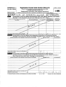| <b>SCHEDULE A</b><br>(Form 990 or 990-EZ) |                                                                  | Organization Exempt Under Section 501(c)(3)<br>(Except Private Foundation) and Section 501(e), 501(f), 501(k), 501(n),                                                                                                                                                          |                  |                                                                            | OMB No 1545-0047                               |
|-------------------------------------------|------------------------------------------------------------------|---------------------------------------------------------------------------------------------------------------------------------------------------------------------------------------------------------------------------------------------------------------------------------|------------------|----------------------------------------------------------------------------|------------------------------------------------|
|                                           |                                                                  | or 4947(a)(1) Nonexempt Charitable Trust                                                                                                                                                                                                                                        |                  |                                                                            |                                                |
| Department of the Treasury                |                                                                  | Supplementary Information-(See separate instructions.)                                                                                                                                                                                                                          |                  |                                                                            | 20005                                          |
| Internal Revenue Service                  |                                                                  | MUST be completed by the above organizations and attached to their Form 990 or 990-EZ                                                                                                                                                                                           |                  |                                                                            |                                                |
| Name of the organization<br>IAN CLUB      |                                                                  | OF GREATER DAYTON                                                                                                                                                                                                                                                               |                  | Employer identification number<br>84                                       | 659                                            |
| Part                                      |                                                                  | Compensation of the Five Highest Paid Employees Other Than Officers, Directors, and Trustees<br>(See page 1 of the instructions. List each one. If there are none, enter "None.")                                                                                               |                  |                                                                            |                                                |
|                                           | (a) Name and address of each employee paid more<br>than \$50,000 | (b) Title and average hours<br>per week devoted to position                                                                                                                                                                                                                     | (c) Compensation | (d) Contributions to<br>employee beneint plans & <br>deferred compensation | (e) Expense<br>account and other<br>allowances |
|                                           |                                                                  |                                                                                                                                                                                                                                                                                 |                  |                                                                            |                                                |
|                                           |                                                                  | NONE                                                                                                                                                                                                                                                                            |                  |                                                                            |                                                |
|                                           |                                                                  |                                                                                                                                                                                                                                                                                 |                  |                                                                            |                                                |
|                                           |                                                                  |                                                                                                                                                                                                                                                                                 |                  |                                                                            |                                                |
|                                           |                                                                  |                                                                                                                                                                                                                                                                                 |                  |                                                                            |                                                |
|                                           | Total number of other employees paid over \$50,000               |                                                                                                                                                                                                                                                                                 | $\sqrt{2}$       | ાર્જ કહ્યું મુ<br>$\int_{0}^{1}$ ax                                        | akka Ka<br>ل آهنگ پ                            |
|                                           |                                                                  | Part II-A Compensation of the Five Highest Paid Independent Contractors for Professional Services                                                                                                                                                                               |                  |                                                                            |                                                |
|                                           |                                                                  | (See page 2 of the instructions. List each one (whether individuals or firms). If there are none, enter "None.")<br>(a) Name and address of each independent contractor paid more than \$50,000                                                                                 |                  | (b) Type of service                                                        | (c) Compensation                               |
|                                           |                                                                  |                                                                                                                                                                                                                                                                                 |                  |                                                                            |                                                |
|                                           |                                                                  |                                                                                                                                                                                                                                                                                 |                  |                                                                            |                                                |
|                                           |                                                                  |                                                                                                                                                                                                                                                                                 |                  |                                                                            |                                                |
|                                           |                                                                  | you.                                                                                                                                                                                                                                                                            |                  |                                                                            |                                                |
|                                           |                                                                  |                                                                                                                                                                                                                                                                                 |                  |                                                                            |                                                |
|                                           |                                                                  |                                                                                                                                                                                                                                                                                 |                  |                                                                            |                                                |
| professional services                     | Total number of others receiving over \$50,000 for               |                                                                                                                                                                                                                                                                                 |                  |                                                                            |                                                |
|                                           |                                                                  | Part II-B Compensation of the Five Highest Paid Independent Contractors for Other Services<br>(List each contractor who performed services other than professional services, whether individuals or<br>firms. If there are none, enter "None." See page 2 of the instructions.) |                  |                                                                            |                                                |
|                                           |                                                                  | (a) Name and address of each independent contractor paid more than \$50,000                                                                                                                                                                                                     |                  | (b) Lype of service                                                        | (c) Compensation                               |
|                                           |                                                                  |                                                                                                                                                                                                                                                                                 |                  |                                                                            |                                                |
|                                           |                                                                  |                                                                                                                                                                                                                                                                                 |                  |                                                                            |                                                |
|                                           |                                                                  |                                                                                                                                                                                                                                                                                 |                  |                                                                            |                                                |
|                                           |                                                                  |                                                                                                                                                                                                                                                                                 |                  |                                                                            |                                                |
|                                           |                                                                  |                                                                                                                                                                                                                                                                                 |                  |                                                                            |                                                |
| \$50,000 for other services .             | Total number of other contractors receiving over                 |                                                                                                                                                                                                                                                                                 |                  |                                                                            |                                                |
|                                           |                                                                  | For Paperwork Reduction Act Notice, see the Instructions for Form 990 and Form 990-EZ.                                                                                                                                                                                          | Cat No 11285F    |                                                                            | Schedule A (Form 990 or 990-EZ) 2005           |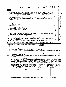Schedule A (Form 990 or 990-EZ) 2005 IN DIA CLUB OF GREATER DATION  $\mathcal{D}$ I - II  $\delta$  467  $\frac{1}{P_{\text{age}}}$  2

|                  |                                                                                                                                                                                                                                                                                                                                                                                                                                                                                                                                                                                                                                                         |              | rayo —    |
|------------------|---------------------------------------------------------------------------------------------------------------------------------------------------------------------------------------------------------------------------------------------------------------------------------------------------------------------------------------------------------------------------------------------------------------------------------------------------------------------------------------------------------------------------------------------------------------------------------------------------------------------------------------------------------|--------------|-----------|
|                  | Part III<br><b>Statements About Activities (See page 2 of the instructions.)</b>                                                                                                                                                                                                                                                                                                                                                                                                                                                                                                                                                                        | Yes          | <b>No</b> |
|                  | During the year, has the organization attempted to influence national, state, or local legislation, including any<br>attempt to influence public opinion on a legislative matter or referendum? If "Yes," enter the total expenses paid<br>or incurred in connection with the lobbying activities $\triangleright$ \$ _______________________(Must equal amounts on line 38,<br>Organizations that made an election under section 501(h) by filing Form 5768 must complete Part VI-A Other<br>organizations checking "Yes" must complete Part VI-B AND attach a statement giving a detailed description of<br>$\mathcal{A}$<br>the lobbying activities. | ۰ مي*<br>Ħ.  |           |
| 2                | During the year, has the organization, either directly or indirectly, engaged in any of the following acts with any<br>ų.<br>substantial contributors, trustees, directors, officers, creators, key employees, or members of their families, or<br>with any taxable organization with which any such person is affiliated as an officer, director, trustee, majority<br>$e^{i\lambda} \tilde{\gamma}^{\mu}$ .<br>owner, or principal beneficiary? (If the answer to any question is "Yes," attach a detailed statement explaining the<br>transactions.)                                                                                                 | ÷,<br>وإيضاء |           |
| a<br>c<br>d<br>e | 2a<br>2 <sub>b</sub><br>2c<br>2d<br>Payment of compensation (or payment or reimbursement of expenses if more than \$1,000)?<br>2е<br>Transfer of any part of its income or assets?<br>$\frac{1}{2}$ , $\frac{1}{2}$ , $\frac{1}{2}$ , $\frac{1}{2}$ , $\frac{1}{2}$ , $\frac{1}{2}$ , $\frac{1}{2}$ , $\frac{1}{2}$ , $\frac{1}{2}$ , $\frac{1}{2}$                                                                                                                                                                                                                                                                                                     |              |           |
| За<br>b.         | Do you make grants for scholarships, fellowships, student loans, etc ? (If "Yes," attach an explanation of how<br>За<br>you determine that recipients qualify to receive payments). The result of the contract of the contract of the contract of the contract of the contract of the contract of the contract of the contract of the contract of the<br>3b<br>3 <sub>c</sub>                                                                                                                                                                                                                                                                           |              |           |
| c<br>4a i        | During the year, did the organization receive a contribution of qualified real property interest under section 170(h)?<br>Did you maintain any separate account for participating donors where donors have the right to provide advice on<br>4а<br>the use or distribution of funds?<br>b Do you provide credit counseling, debt management, credit repair, or debt negotiation services?<br>4Ь                                                                                                                                                                                                                                                         |              |           |

Part IV Reason for Non-Private Foundation Status (See pages 3 through 6 of the instructions.)

The organization is not a private foundation because it is: (Please check only ONE applicable box)

- 5  $\Box$  A church, convention of churches, or association of churches Section 170(b)(1)(A)(i).
- D A school. Section 170(b)(1)(A)(ii). (Also complete Part V.) 6
- $\overline{\mathbf{z}}$  $\Box$  A hospital or a cooperative hospital service organization Section 170(b)(1)(A)(iii).
- $\mathbf{a}$  $\Box$  A Federal, state, or local government or governmental unit Section 170(b)(1)(A)(v)
- $\mathbf{Q}$  $\Box$  A medical research organization operated in conjunction with a hospital. Section 170(b)(1)(A)(iii) Enter the hospital's name, city,  $\overline{\phantom{a}}$ and state > ......................................................................................................................... \_\_
- 10  $\Box$  An organization operated for the benefit of a college or university owned or operated by a governmental unit Section 170(b)(1)(A)(iv) (Also complete the Support Schedule in Part lV-A.)
- 11a  $\Box$  An organization that normally receives a substantial part of its support from a governmental unit or from the general public Section 170(b)(1)(A)(Vi) (Also complete the Support Schedule in Part IV-A.)
- 11b  $\Box$  $\overline{\mathcal{A}}$  community trust Section 170(b)(1)(A)(vi) (Also complete the Support Schedule in Part IV-A)
- 12  $\mathbb K$  An organization that normally receives: (1) more than 33%% of its support from contributions, membership fees, and gross receipts from activities related to its charitable, etc., functions—subject to certain exceptions, and (2) no more than 331/4% of its support from gross investment income and unrelated business taxable income (less section 511 tax) from businesses acquired by the organization after June 30, 1975. See section 509(a)(2) (Also complete the Support Schedule in Part IV-A.)
- 13  $\Box$  An organization that is not controlled by any disqualified persons (other than foundation managers) and supports organizations described in: (1) lines 5 through 12 above, or (2) sections 501(c)(4), (5), or (6), if they meet the test of section 509(a)(2). Check the box that describes the type of supporting organization:  $\blacktriangleright$   $\Box$  Type 1  $\Box$  Ty the box that describes the type of supporting organization:  $\blacktriangleright$   $\Box$  Type 1 Provide the followmg information about the supported organizations. (See page 6 of the instructions.)

| (a) Name(s) of supported organization(s) | (b) Line number<br>from above |
|------------------------------------------|-------------------------------|
|                                          |                               |
|                                          |                               |
|                                          |                               |

14  $\Box$  An organization organized and operated to test for public safety Section 509(a)(4). (See page 6 of the instructions.)

Schedule A (Form 990 or 990-EZ) 2005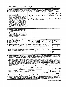|          | NOIA CLUS of GREATER DAYTON<br>Schedule A (Form 990 or 990-EZ) 2005                                                                                                                                                                                                                                                                                                                                                                                                                                                                                                                                                          |             |                                             |            | $31 - 1184659$ |                                            | Page 3           |
|----------|------------------------------------------------------------------------------------------------------------------------------------------------------------------------------------------------------------------------------------------------------------------------------------------------------------------------------------------------------------------------------------------------------------------------------------------------------------------------------------------------------------------------------------------------------------------------------------------------------------------------------|-------------|---------------------------------------------|------------|----------------|--------------------------------------------|------------------|
|          | Part IV-A Support Schedule (Complete only if you checked a box on line 10, 11, or 12.) Use cash method of accounting.<br>Note: You may use the worksheet in the instructions for converting from the accrual to the cash method of accounting.                                                                                                                                                                                                                                                                                                                                                                               |             |                                             |            |                |                                            |                  |
|          | Calendar year (or fiscal year beginning in)<br>▶                                                                                                                                                                                                                                                                                                                                                                                                                                                                                                                                                                             | (a) 2004    | (b) 2003                                    | $(c)$ 2002 | $(d)$ 2001     |                                            | (e) Total        |
| 15       | Gifts, grants, and contributions received. (Do                                                                                                                                                                                                                                                                                                                                                                                                                                                                                                                                                                               |             |                                             |            |                |                                            |                  |
|          | not include unusual grants. See line 28.).                                                                                                                                                                                                                                                                                                                                                                                                                                                                                                                                                                                   |             |                                             |            |                |                                            |                  |
| 16       | Membership fees received                                                                                                                                                                                                                                                                                                                                                                                                                                                                                                                                                                                                     | 505         | 7,185                                       | 715        |                |                                            |                  |
| 17       | Gross receipts from admissions, merchandise<br>sold or services performed, or furnishing of<br>facilities in any activity that is related to the<br>organization's charitable, etc, purpose                                                                                                                                                                                                                                                                                                                                                                                                                                  | 36,296      | 26,03314,860                                |            | 18,815         |                                            |                  |
| 18       | Gross income from interest, dividends,<br>amounts received from payments on securities<br>loans (section 512(a)(5)), rents, royalties, and<br>unrelated business taxable income (less<br>section 511 taxes) from businesses acquired<br>by the organization after June 30, 1975                                                                                                                                                                                                                                                                                                                                              |             |                                             |            |                |                                            |                  |
| 19       | Net income from unrelated<br>business<br>activities not included in line 18.<br>$\mathbf{r} = \mathbf{r} + \mathbf{r}$ .                                                                                                                                                                                                                                                                                                                                                                                                                                                                                                     |             |                                             |            |                |                                            |                  |
| 20       | Tax revenues levied for the organization's<br>benefit and either paid to it or expended on<br>its behalf.                                                                                                                                                                                                                                                                                                                                                                                                                                                                                                                    |             |                                             |            |                |                                            |                  |
| 21       | The value of services or facilities furnished to<br>the organization by a governmental unit<br>without charge. Do not include the value of<br>services or facilities generally furnished to the<br>public without charge                                                                                                                                                                                                                                                                                                                                                                                                     |             |                                             |            |                |                                            |                  |
| 22       | Other income Attach a schedule. Do not                                                                                                                                                                                                                                                                                                                                                                                                                                                                                                                                                                                       |             |                                             |            |                |                                            |                  |
|          | include gain or (loss) from sale of capital assets                                                                                                                                                                                                                                                                                                                                                                                                                                                                                                                                                                           |             |                                             |            |                |                                            |                  |
| 23       | Total of lines 15 through 22                                                                                                                                                                                                                                                                                                                                                                                                                                                                                                                                                                                                 | 80          | 218                                         |            |                |                                            |                  |
| 24<br>25 | Line 23 minus line 17.<br><b>Contract Contract</b><br>Enter 1% of line 23<br>and the company                                                                                                                                                                                                                                                                                                                                                                                                                                                                                                                                 | 4505<br>40B |                                             |            | <u>2'976</u>   | 8                                          |                  |
| 26       | Organizations described on lines 10 or 11:                                                                                                                                                                                                                                                                                                                                                                                                                                                                                                                                                                                   |             | a Enter 2% of amount in column (e), line 24 |            |                | 26а                                        |                  |
| b.       | Prepare a list for your records to show the name of and amount contributed by each person (other than a<br>governmental unit or publicly supported organization) whose total gifts for 2001 through 2004 exceeded the<br>amount shown in line 26a Do not file this list with your return. Enter the total of all these excess amounts $\blacktriangleright$                                                                                                                                                                                                                                                                  |             |                                             |            |                | $\frac{1}{2}$<br>$\hat{\mathbf{x}}$<br>26b | うちょう かいしょう<br>Â, |
| c        | Total support for section $509(a)(1)$ test: Enter line 24, column (e) $\ldots$                                                                                                                                                                                                                                                                                                                                                                                                                                                                                                                                               |             |                                             |            |                | <b>26c</b>                                 | -笑。              |
| d        | Add: Amounts from column (e) for lines                                                                                                                                                                                                                                                                                                                                                                                                                                                                                                                                                                                       |             | $19 \qquad \qquad \qquad \qquad \qquad$     |            |                |                                            |                  |
|          | $22 -$                                                                                                                                                                                                                                                                                                                                                                                                                                                                                                                                                                                                                       |             | $26b$ $\qquad \qquad$                       |            |                | 26d<br><b>26e</b>                          |                  |
|          | e Public support (line 26c minus line 26d total)<br>Public support percentage (line 26e (numerator) divided by line 26c (denominator))                                                                                                                                                                                                                                                                                                                                                                                                                                                                                       |             |                                             |            |                | 26f                                        | ℅                |
| 27       | Organizations described on line 12: a For amounts included in lines 15, 16, and 17 that were received from a "disqualified<br>person," prepare a list for your records to show the name of, and total amounts received in each year from, each "disqualified person"<br>Do not file this list with your return. Enter the sum of such amounts for each year:                                                                                                                                                                                                                                                                 |             |                                             | N/A        |                |                                            |                  |
|          |                                                                                                                                                                                                                                                                                                                                                                                                                                                                                                                                                                                                                              |             |                                             |            |                |                                            |                  |
| b        | For any amount included in line 17 that was received from each person (other than "disqualified persons"), prepare a list for your records to<br>show the name of, and amount received for each year, that was more than the larger of (1) the amount on line 25 for the year or (2) \$5,000.<br>(Include in the list organizations described in lines 5 through 11b, as well as individuals) Do not file this list with your return. After computing<br>the difference between the amount received and the larger amount described in (1) or (2), enter the sum of these differences (the excess<br>amounts) for each year. |             |                                             |            |                |                                            |                  |
|          | Add: Amounts from column (e) for lines 15 $\frac{39,387}{21}$ 16 $\frac{19,994}{21}$                                                                                                                                                                                                                                                                                                                                                                                                                                                                                                                                         |             |                                             |            |                | 27c                                        |                  |
| d        | Add: Line 27a total.                                                                                                                                                                                                                                                                                                                                                                                                                                                                                                                                                                                                         |             |                                             |            |                | 27d                                        |                  |
| е        | Public support (line 27c total minus line 27d total),                                                                                                                                                                                                                                                                                                                                                                                                                                                                                                                                                                        |             |                                             |            |                | 27e                                        |                  |
| f        | Total support for section 509(a)(2) test: Enter amount from line 23, column (e) $\rightarrow$ 27f   155, 385                                                                                                                                                                                                                                                                                                                                                                                                                                                                                                                 |             |                                             |            |                |                                            |                  |
| g<br>h.  | Public support percentage (line 27e (numerator) divided by line 27f (denominator)). $\blacksquare$<br>Investment income percentage (line 18, column (e) (numerator) divided by line 27f (denominator)). ▶                                                                                                                                                                                                                                                                                                                                                                                                                    |             |                                             |            |                | 27g<br>27h                                 | %                |
| 28       | Unusual Grants: For an organization described in line 10, 11, or 12 that received any unusual grants during 2001 through 2004,<br>prepare a list for your records to show, for each year, the name of the contributor, the date and amount of the grant, and a brief<br>description of the nature of the grant Do not file this list with your return. Do not include these grants in line 15                                                                                                                                                                                                                                |             |                                             |            |                |                                            |                  |

 $\ddot{\phantom{0}}$ 

 $\ddot{\phantom{0}}$ 

Schedule A (Form 990 or 990-EZ) 2005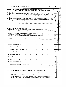|     | Private School Questionnaire (See page 7 of the instructions.)<br>Part V                                                                                                                                                                                                                                                                                                                                                                 |                        |                                       |     |
|-----|------------------------------------------------------------------------------------------------------------------------------------------------------------------------------------------------------------------------------------------------------------------------------------------------------------------------------------------------------------------------------------------------------------------------------------------|------------------------|---------------------------------------|-----|
| 29  | (To be completed ONLY by schools that checked the box on line 6 in Part IV)<br>Does the organization have a racially nondiscriminatory policy toward students by statement in its charter, bylaws,                                                                                                                                                                                                                                       |                        | Yes:                                  | No. |
|     | other governing instrument, or in a resolution of its governing body?.                                                                                                                                                                                                                                                                                                                                                                   | 29                     |                                       |     |
| 30  | Does the organization include a statement of its racially nondiscriminatory policy toward students in all its<br>brochures, catalogues, and other written communications with the public dealing with student admissions,<br>programs, and scholarships?                                                                                                                                                                                 | 30<br>់ម <sub>ិន</sub> |                                       |     |
| 31  | Has the organization publicized its racially nondiscriminatory policy through newspaper or broadcast media during<br>the period of solicitation for students, or during the registration period if it has no solicitation program, in a way<br>that makes the policy known to all parts of the general community it serves?<br>If "Yes," please describe; if "No," please explain. (If you need more space, attach a separate statement) | 31                     |                                       |     |
|     |                                                                                                                                                                                                                                                                                                                                                                                                                                          |                        |                                       |     |
|     |                                                                                                                                                                                                                                                                                                                                                                                                                                          |                        |                                       |     |
| 32  | Does the organization maintain the following:<br>a Records indicating the racial composition of the student body, faculty, and administrative staff?                                                                                                                                                                                                                                                                                     | 32a                    |                                       |     |
| b   | Records documenting that scholarships and other financial assistance are awarded on a racially nondiscriminatory<br>basis?.<br>and the company of the company of the company of                                                                                                                                                                                                                                                          | 32 <sub>b</sub>        |                                       |     |
|     | c Copies of all catalogues, brochures, announcements, and other written communications to the public dealing                                                                                                                                                                                                                                                                                                                             | 32 <sub>c</sub>        |                                       |     |
|     | d Copies of all material used by the organization or on its behalf to solicit contributions?.                                                                                                                                                                                                                                                                                                                                            | 32d<br>ţ.              |                                       |     |
|     | If you answered "No" to any of the above, please explain. (If you need more space, attach a separate statement.)                                                                                                                                                                                                                                                                                                                         | 读                      |                                       |     |
|     |                                                                                                                                                                                                                                                                                                                                                                                                                                          |                        |                                       |     |
| 33  | Does the organization discriminate by race in any way with respect to:                                                                                                                                                                                                                                                                                                                                                                   | رون<br>زخي             |                                       |     |
|     | a Students' rights or privileges?.                                                                                                                                                                                                                                                                                                                                                                                                       | 33а                    |                                       |     |
| b   | Admissions policies?.                                                                                                                                                                                                                                                                                                                                                                                                                    | 33b                    |                                       |     |
| c   | Employment of faculty or administrative staff?.                                                                                                                                                                                                                                                                                                                                                                                          | 33с                    |                                       |     |
|     | d Scholarships or other financial assistance?.                                                                                                                                                                                                                                                                                                                                                                                           | 33d                    |                                       |     |
| е   | Educational policies?.                                                                                                                                                                                                                                                                                                                                                                                                                   | <b>33e</b>             |                                       |     |
| 1.  | Use of facilities?                                                                                                                                                                                                                                                                                                                                                                                                                       | 33f                    |                                       |     |
| 9   | Athletic programs?.                                                                                                                                                                                                                                                                                                                                                                                                                      | 33g                    |                                       |     |
| h   | Other extracurricular activities?.                                                                                                                                                                                                                                                                                                                                                                                                       | 33h                    |                                       |     |
|     | If you answered "Yes" to any of the above, please explain. (If you need more space, attach a separate statement.)                                                                                                                                                                                                                                                                                                                        |                        |                                       |     |
|     |                                                                                                                                                                                                                                                                                                                                                                                                                                          | ۳                      |                                       |     |
|     |                                                                                                                                                                                                                                                                                                                                                                                                                                          |                        |                                       |     |
| 34а | Does the organization receive any financial aid or assistance from a governmental agency?                                                                                                                                                                                                                                                                                                                                                | 34а                    |                                       |     |
|     | Has the organization's right to such aid ever been revoked or suspended?                                                                                                                                                                                                                                                                                                                                                                 | 34b                    |                                       |     |
| b   | If you answered "Yes" to either 34a or b, please explain using an attached statement.                                                                                                                                                                                                                                                                                                                                                    | i<br>Pr                | $\mathcal{P}_{\mathcal{R}^{\bullet}}$ |     |

 $\lambda$ 

 $- - -$ 

 $\sim 10^{-1}$ 

Schedule A (Form 990 or 990-EZ) 2005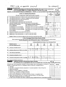## IND'TA CUVB OF GREATER PAYTON

|    | Schedule A (Form 990 or 990-EZ) 2005                                                                                                                                                                                                                                                            |                           |                                                            | Page 5                                                      |
|----|-------------------------------------------------------------------------------------------------------------------------------------------------------------------------------------------------------------------------------------------------------------------------------------------------|---------------------------|------------------------------------------------------------|-------------------------------------------------------------|
|    | Part VI-A<br>Lobbying Expenditures by Electing Public Charities (See page 9 of the instructions.)<br>(To be completed ONLY by an eligible organization that filed Form 5768)                                                                                                                    |                           |                                                            |                                                             |
|    | Check $\blacktriangleright$ b $\Box$<br>if the organization belongs to an affiliated group.<br>Check $\blacktriangleright$ a                                                                                                                                                                    |                           | if you checked "a" and "limited control" provisions apply. |                                                             |
|    | <b>Limits on Lobbying Expenditures</b><br>(The term "expenditures" means amounts paid or incurred)                                                                                                                                                                                              |                           | (a)<br>Affiliated group<br>totals                          | (b)<br>To be completed<br>for ALL electing<br>organizations |
| 36 | Total lobbying expenditures to influence public opinion (grassroots lobbying)                                                                                                                                                                                                                   | 36                        |                                                            |                                                             |
| 37 | Total lobbying expenditures to influence a legislative body (direct lobbying)                                                                                                                                                                                                                   | 37                        |                                                            |                                                             |
| 38 | and a state of<br>Total lobbying expenditures (add lines 36 and 37)                                                                                                                                                                                                                             | 38                        |                                                            |                                                             |
| 39 | Other exempt purpose expenditures (e.g. contained a series and contained a series of the contact of the contact of                                                                                                                                                                              | 39                        |                                                            |                                                             |
| 40 | Total exempt purpose expenditures (add lines 38 and 39)<br>$\mathbf{r}$ and $\mathbf{r}$ are the set of the set of the set of the set of the set of the set of the set of the set of the set of the set of the set of the set of the set of the set of the set of the set of the set of the set | 40                        |                                                            |                                                             |
| 41 | Lobbying nontaxable amount. Enter the amount from the following table-                                                                                                                                                                                                                          | 大概                        |                                                            |                                                             |
|    | If the amount on line 40 is- $-$<br>The lobbying nontaxable amount is-                                                                                                                                                                                                                          | -7790                     |                                                            |                                                             |
|    | 20% of the amount on line 40, when you<br>Not over \$500,000. $\, \cdot \, \cdot \, \cdot \, \cdot \, \cdot \, \cdot \, \cdot \, \cdot$                                                                                                                                                         |                           |                                                            |                                                             |
|    | Over \$500,000 but not over \$1,000,000<br>\$100,000 plus 15% of the excess over \$500,000                                                                                                                                                                                                      | 394                       |                                                            |                                                             |
|    | Over \$1,000,000 but not over \$1,500,000<br>\$175,000 plus 10% of the excess over \$1,000,000                                                                                                                                                                                                  | 41                        |                                                            |                                                             |
|    | \$225,000 plus 5% of the excess over \$1,500,000<br>Over \$1,500,000 but not over \$17,000,000.                                                                                                                                                                                                 | $\mathbb{R}^{\mathbb{Z}}$ |                                                            |                                                             |
|    | Over \$17,000,000<br>$$1,000,000$ .<br>and a strong contract of the state of                                                                                                                                                                                                                    |                           |                                                            |                                                             |
| 42 | Grassroots nontaxable amount (enter 25% of line 41).                                                                                                                                                                                                                                            | 42                        |                                                            |                                                             |
| 43 | Subtract line 42 from line 36. Enter -0- if line 42 is more than line 36.                                                                                                                                                                                                                       | 43                        |                                                            |                                                             |
| 44 | Subtract line 41 from line 38. Enter -0- if line 41 is more than line 38.                                                                                                                                                                                                                       | 44                        |                                                            |                                                             |
|    | Caution: If there is an amount on either line 43 or line 44, you must file Form 4720.                                                                                                                                                                                                           |                           |                                                            |                                                             |

## 4-Year Averaging Period Under Section 501 (h)

(Some organizations that made a section 501(h) election do not have to complete all of the five columns below. See the instructions for lines 45 through 50 on page 11 of the instructions )

|    |                                                                                                                                                                                                                  | Lobbying Expenditures During 4-Year Averaging Period |                  |                               |      |           |        |  |  |  |  |  |
|----|------------------------------------------------------------------------------------------------------------------------------------------------------------------------------------------------------------------|------------------------------------------------------|------------------|-------------------------------|------|-----------|--------|--|--|--|--|--|
|    | Calendar year (or                                                                                                                                                                                                | (a)                                                  | (b)              | (c)                           | (d)  |           | (e)    |  |  |  |  |  |
|    | fiscal year beginning in) $\blacktriangleright$                                                                                                                                                                  | 2005                                                 | 2004             | 2003                          | 2002 |           | Total  |  |  |  |  |  |
| 45 | Lobbying nontaxable amount                                                                                                                                                                                       |                                                      |                  |                               |      |           |        |  |  |  |  |  |
| 46 | Lobbying ceiling amount (150% of line 45(e))                                                                                                                                                                     | ふーパん<br>Albert St                                    | FRANCISCO        | ang sa salawang.<br>Tanggalan |      | 驻氵        |        |  |  |  |  |  |
| 47 | Total lobbying expenditures                                                                                                                                                                                      |                                                      |                  |                               |      |           |        |  |  |  |  |  |
| 48 | Grassroots nontaxable amount                                                                                                                                                                                     |                                                      |                  |                               |      |           |        |  |  |  |  |  |
| 49 |                                                                                                                                                                                                                  |                                                      | <b>Stair</b> à S | - پوځه<br>Robert Land Bridge  |      |           |        |  |  |  |  |  |
| 50 | Grassroots lobbying expenditures                                                                                                                                                                                 |                                                      |                  |                               |      |           |        |  |  |  |  |  |
|    | <b>Lobbying Activity by Nonelecting Public Charities</b><br>Part VI-B I<br>(For reporting only by organizations that did not complete Part VI-A) (See page 11 <sup>/</sup> of the instructions.)                 |                                                      |                  |                               |      |           |        |  |  |  |  |  |
|    | During the year, did the organization attempt to influence national, state or local legislation, including any<br>attempt to influence public opinion on a legislative matter or referendum, through the use of: |                                                      |                  |                               | Yes  | <b>No</b> | Amount |  |  |  |  |  |
| a  | Volunteers                                                                                                                                                                                                       |                                                      |                  |                               |      |           |        |  |  |  |  |  |
|    | Paid staff or management (Include compensation in expenses reported on lines c through h.)                                                                                                                       |                                                      |                  |                               |      |           |        |  |  |  |  |  |
| c  | Media advertisements.                                                                                                                                                                                            |                                                      |                  |                               |      |           |        |  |  |  |  |  |
|    | Mailings to members, legislators, or the public,                                                                                                                                                                 | and a state of the state of the state of the         |                  |                               |      |           |        |  |  |  |  |  |
| е  | Publications, or published or broadcast statements                                                                                                                                                               |                                                      |                  |                               |      |           |        |  |  |  |  |  |
|    | Grants to other organizations for lobbying purposes                                                                                                                                                              |                                                      |                  |                               |      |           |        |  |  |  |  |  |
| a  | Direct contact with legislators, their staffs, government officials, or a legislative body. .                                                                                                                    |                                                      |                  |                               |      |           |        |  |  |  |  |  |
|    | Rallies, demonstrations, seminars, conventions, speeches, lectures, or any other means                                                                                                                           |                                                      |                  |                               |      | 进         |        |  |  |  |  |  |
|    | Total lobbying expenditures (Add lines c through h.)                                                                                                                                                             |                                                      |                  |                               |      |           |        |  |  |  |  |  |
|    | If "Yes" to any of the above, also attach a statement giving a detailed description of the lobbying activities.                                                                                                  |                                                      |                  |                               |      |           |        |  |  |  |  |  |

Schedule A (Form 990 or 990-EZ) 2005

31-1184659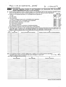(mpg);ch opfiwtl'ré/L pAvml <sup>34</sup> \_ ii <sup>34</sup> 65")

Schedule <sup>A</sup> (Form <sup>990</sup> or 990-EZ) <sup>2005</sup> Page 6

Exempt Organizations (See page 12 of the instructions.)

Information Regarding Transfers To and Transactions and Relationships With Noncharitable

| 51 |                                                     |                                                                                                                                                                                                                                | Did the reporting organization directly or indirectly engage in any of the following with any other organization described in section                                                                                                                      |            |    |
|----|-----------------------------------------------------|--------------------------------------------------------------------------------------------------------------------------------------------------------------------------------------------------------------------------------|------------------------------------------------------------------------------------------------------------------------------------------------------------------------------------------------------------------------------------------------------------|------------|----|
|    |                                                     |                                                                                                                                                                                                                                | 501(c) of the Code (other than section 501(c)(3) organizations) or in section 527, relating to political organizations?                                                                                                                                    |            |    |
|    |                                                     | a Transfers from the reporting organization to a noncharitable exempt organization of:                                                                                                                                         |                                                                                                                                                                                                                                                            | Yes        | No |
|    | (i) Cash<br>and the contract of the con-            |                                                                                                                                                                                                                                |                                                                                                                                                                                                                                                            | 51a(i)     |    |
|    | (ii) Other assets                                   |                                                                                                                                                                                                                                |                                                                                                                                                                                                                                                            | a(ii)      |    |
|    | <b>b</b> Other transactions:                        |                                                                                                                                                                                                                                |                                                                                                                                                                                                                                                            |            |    |
|    |                                                     | (i) Sales or exchanges of assets with a noncharitable exempt organization                                                                                                                                                      |                                                                                                                                                                                                                                                            | b(i)       |    |
|    |                                                     | (ii) Purchases of assets from a noncharitable exempt organization                                                                                                                                                              |                                                                                                                                                                                                                                                            | b(ii)      |    |
|    |                                                     | (iii) Rental of facilities, equipment, or other assets                                                                                                                                                                         |                                                                                                                                                                                                                                                            | b(iii)     |    |
|    |                                                     | (iv) Reimbursement arrangements response to response the contract of the Reimbursement arrangements response to response the contract of the Reimannian Superior and Reimannian Superior Contract and Reimannian Superior Reim |                                                                                                                                                                                                                                                            | b(iv)      |    |
|    |                                                     |                                                                                                                                                                                                                                |                                                                                                                                                                                                                                                            | b(v)       |    |
|    |                                                     | (vi) Performance of services or membership or fundraising solicitations (etc.) and contact the control of vertical states in the control of vertical states of vertical states of vertical states of vertical states of vertic |                                                                                                                                                                                                                                                            | b(vi)      |    |
|    |                                                     | c Sharing of facilities, equipment, mailing lists, other assets, or pald employees.                                                                                                                                            | $\mathbf{r} = \mathbf{r} - \mathbf{r}$                                                                                                                                                                                                                     | c          |    |
|    |                                                     |                                                                                                                                                                                                                                | d If the answer to any of the above is "Yes," complete the following schedule. Column (b) should always show the fair market value of the                                                                                                                  |            |    |
|    |                                                     |                                                                                                                                                                                                                                | goods, other assets, or services given by the reporting organization. If the organization received less than fair market value in any<br>transaction or sharing arrangement, show in column (d) the value of the goods, other assets, or services received |            |    |
|    |                                                     |                                                                                                                                                                                                                                |                                                                                                                                                                                                                                                            |            |    |
|    | (b)<br>(a)<br>Line no<br>Amount involved            | (c)<br>Name of noncharitable exempt organization                                                                                                                                                                               | (d)<br>Description of transfers, transactions, and sharing arrangements                                                                                                                                                                                    |            |    |
|    |                                                     |                                                                                                                                                                                                                                |                                                                                                                                                                                                                                                            |            |    |
|    |                                                     |                                                                                                                                                                                                                                |                                                                                                                                                                                                                                                            |            |    |
|    |                                                     |                                                                                                                                                                                                                                |                                                                                                                                                                                                                                                            |            |    |
|    |                                                     |                                                                                                                                                                                                                                |                                                                                                                                                                                                                                                            |            |    |
|    |                                                     |                                                                                                                                                                                                                                |                                                                                                                                                                                                                                                            |            |    |
|    |                                                     |                                                                                                                                                                                                                                |                                                                                                                                                                                                                                                            |            |    |
|    |                                                     |                                                                                                                                                                                                                                |                                                                                                                                                                                                                                                            |            |    |
|    |                                                     |                                                                                                                                                                                                                                |                                                                                                                                                                                                                                                            |            |    |
|    |                                                     |                                                                                                                                                                                                                                |                                                                                                                                                                                                                                                            |            |    |
|    |                                                     |                                                                                                                                                                                                                                |                                                                                                                                                                                                                                                            |            |    |
|    |                                                     |                                                                                                                                                                                                                                |                                                                                                                                                                                                                                                            |            |    |
|    |                                                     |                                                                                                                                                                                                                                |                                                                                                                                                                                                                                                            |            |    |
|    |                                                     |                                                                                                                                                                                                                                |                                                                                                                                                                                                                                                            |            |    |
|    |                                                     |                                                                                                                                                                                                                                |                                                                                                                                                                                                                                                            |            |    |
|    |                                                     |                                                                                                                                                                                                                                |                                                                                                                                                                                                                                                            |            |    |
|    |                                                     |                                                                                                                                                                                                                                |                                                                                                                                                                                                                                                            |            |    |
|    |                                                     |                                                                                                                                                                                                                                |                                                                                                                                                                                                                                                            |            |    |
|    |                                                     |                                                                                                                                                                                                                                | 52a Is the organization directly or indirectly affiliated with, or related to, one or more tax-exempt organizations                                                                                                                                        |            |    |
|    |                                                     | described in section 501(c) of the Code (other than section 501(c)(3)) or in section 527? $\ldots$                                                                                                                             | $\mathcal{L} \subset \mathbb{R}^{n \times n}$                                                                                                                                                                                                              | $\Box$ Yes |    |
|    | <b>b</b> If "Yes," complete the following schedule. |                                                                                                                                                                                                                                |                                                                                                                                                                                                                                                            |            |    |
|    | (a)<br>Name of organization                         | (b)<br>Type of organization                                                                                                                                                                                                    | (c)<br>Description of relationship                                                                                                                                                                                                                         |            |    |
|    |                                                     |                                                                                                                                                                                                                                |                                                                                                                                                                                                                                                            |            |    |
|    |                                                     |                                                                                                                                                                                                                                |                                                                                                                                                                                                                                                            |            |    |
|    |                                                     |                                                                                                                                                                                                                                |                                                                                                                                                                                                                                                            |            |    |
|    |                                                     |                                                                                                                                                                                                                                |                                                                                                                                                                                                                                                            |            |    |
|    |                                                     |                                                                                                                                                                                                                                |                                                                                                                                                                                                                                                            |            |    |
|    |                                                     |                                                                                                                                                                                                                                |                                                                                                                                                                                                                                                            |            |    |
|    |                                                     |                                                                                                                                                                                                                                |                                                                                                                                                                                                                                                            |            |    |
|    |                                                     |                                                                                                                                                                                                                                |                                                                                                                                                                                                                                                            |            |    |
|    |                                                     |                                                                                                                                                                                                                                |                                                                                                                                                                                                                                                            |            |    |
|    |                                                     |                                                                                                                                                                                                                                |                                                                                                                                                                                                                                                            |            |    |
|    |                                                     |                                                                                                                                                                                                                                |                                                                                                                                                                                                                                                            |            |    |
|    |                                                     |                                                                                                                                                                                                                                |                                                                                                                                                                                                                                                            |            |    |
|    |                                                     |                                                                                                                                                                                                                                |                                                                                                                                                                                                                                                            |            |    |
|    |                                                     |                                                                                                                                                                                                                                |                                                                                                                                                                                                                                                            |            |    |
|    |                                                     |                                                                                                                                                                                                                                |                                                                                                                                                                                                                                                            |            |    |
|    |                                                     |                                                                                                                                                                                                                                |                                                                                                                                                                                                                                                            |            |    |
|    |                                                     |                                                                                                                                                                                                                                |                                                                                                                                                                                                                                                            |            |    |
|    |                                                     |                                                                                                                                                                                                                                | Schedule A (Form 990 or 990-EZ) 2005                                                                                                                                                                                                                       |            |    |
|    |                                                     |                                                                                                                                                                                                                                |                                                                                                                                                                                                                                                            |            |    |
|    |                                                     |                                                                                                                                                                                                                                |                                                                                                                                                                                                                                                            |            |    |
|    |                                                     |                                                                                                                                                                                                                                |                                                                                                                                                                                                                                                            |            |    |
|    |                                                     |                                                                                                                                                                                                                                |                                                                                                                                                                                                                                                            |            |    |
|    |                                                     |                                                                                                                                                                                                                                |                                                                                                                                                                                                                                                            |            |    |